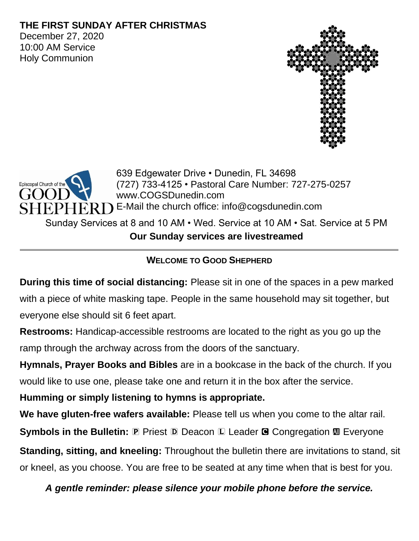#### **THE FIRST SUNDAY AFTER CHRISTMAS**

December 27, 2020 10:00 AM Service Holy Communion





#### **WELCOME TO GOOD SHEPHERD**

**During this time of social distancing:** Please sit in one of the spaces in a pew marked with a piece of white masking tape. People in the same household may sit together, but everyone else should sit 6 feet apart.

**Restrooms:** Handicap-accessible restrooms are located to the right as you go up the ramp through the archway across from the doors of the sanctuary.

**Hymnals, Prayer Books and Bibles** are in a bookcase in the back of the church. If you would like to use one, please take one and return it in the box after the service.

**Humming or simply listening to hymns is appropriate.**

**We have gluten-free wafers available:** Please tell us when you come to the altar rail.

**Symbols in the Bulletin: P Priest D Deacon L Leader <sup>S</sup> Congregation <b>M** Everyone

**Standing, sitting, and kneeling:** Throughout the bulletin there are invitations to stand, sit or kneel, as you choose. You are free to be seated at any time when that is best for you.

*A gentle reminder: please silence your mobile phone before the service.*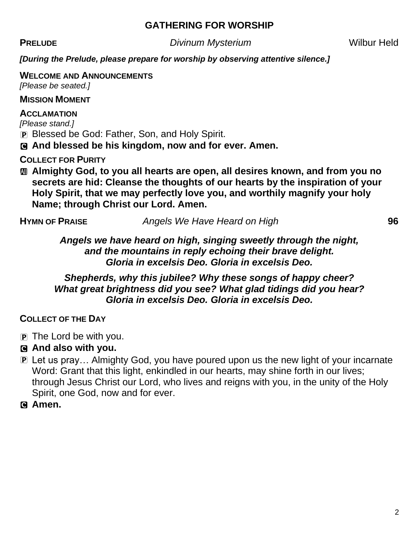### **GATHERING FOR WORSHIP**

**PRELUDE** *Divinum Mysterium* **Divinum Divinum** 

*[During the Prelude, please prepare for worship by observing attentive silence.]*

**WELCOME AND ANNOUNCEMENTS** *[Please be seated.]*

**MISSION MOMENT**

#### **ACCLAMATION**

*[Please stand.]* P Blessed be God: Father, Son, and Holy Spirit.

C **And blessed be his kingdom, now and for ever. Amen.**

**COLLECT FOR PURITY**

a **Almighty God, to you all hearts are open, all desires known, and from you no secrets are hid: Cleanse the thoughts of our hearts by the inspiration of your Holy Spirit, that we may perfectly love you, and worthily magnify your holy Name; through Christ our Lord. Amen.**

**HYMN OF PRAISE** *Angels We Have Heard on High* **96**

*Angels we have heard on high, singing sweetly through the night, and the mountains in reply echoing their brave delight. Gloria in excelsis Deo. Gloria in excelsis Deo.*

*Shepherds, why this jubilee? Why these songs of happy cheer? What great brightness did you see? What glad tidings did you hear? Gloria in excelsis Deo. Gloria in excelsis Deo.*

# **COLLECT OF THE DAY**

 $\overline{p}$  The Lord be with you.

# C **And also with you.**

- P Let us pray… Almighty God, you have poured upon us the new light of your incarnate Word: Grant that this light, enkindled in our hearts, may shine forth in our lives; through Jesus Christ our Lord, who lives and reigns with you, in the unity of the Holy Spirit, one God, now and for ever.
- C **Amen.**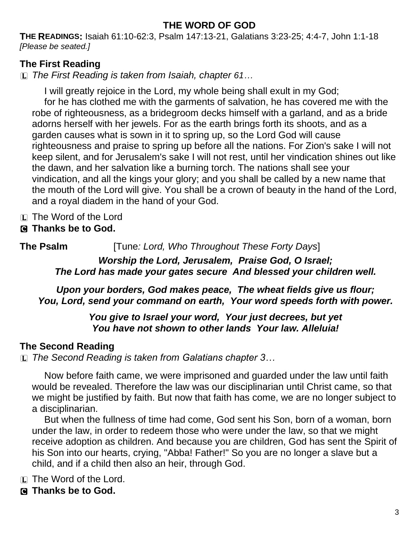# **THE WORD OF GOD**

**THE READINGS:** Isaiah 61:10-62:3, Psalm 147:13-21, Galatians 3:23-25; 4:4-7, John 1:1-18 *[Please be seated.]*

# **The First Reading**

L *The First Reading is taken from Isaiah, chapter 61…*

I will greatly rejoice in the Lord, my whole being shall exult in my God; for he has clothed me with the garments of salvation, he has covered me with the robe of righteousness, as a bridegroom decks himself with a garland, and as a bride adorns herself with her jewels. For as the earth brings forth its shoots, and as a garden causes what is sown in it to spring up, so the Lord God will cause righteousness and praise to spring up before all the nations. For Zion's sake I will not keep silent, and for Jerusalem's sake I will not rest, until her vindication shines out like the dawn, and her salvation like a burning torch. The nations shall see your vindication, and all the kings your glory; and you shall be called by a new name that the mouth of the Lord will give. You shall be a crown of beauty in the hand of the Lord, and a royal diadem in the hand of your God.

- L The Word of the Lord
- C **Thanks be to God.**

**The Psalm** [Tune*: Lord, Who Throughout These Forty Days*]

*Worship the Lord, Jerusalem, Praise God, O Israel; The Lord has made your gates secure And blessed your children well.*

*Upon your borders, God makes peace, The wheat fields give us flour; You, Lord, send your command on earth, Your word speeds forth with power.*

> *You give to Israel your word, Your just decrees, but yet You have not shown to other lands Your law. Alleluia!*

# **The Second Reading**

L *The Second Reading is taken from Galatians chapter 3…*

Now before faith came, we were imprisoned and guarded under the law until faith would be revealed. Therefore the law was our disciplinarian until Christ came, so that we might be justified by faith. But now that faith has come, we are no longer subject to a disciplinarian.

But when the fullness of time had come, God sent his Son, born of a woman, born under the law, in order to redeem those who were under the law, so that we might receive adoption as children. And because you are children, God has sent the Spirit of his Son into our hearts, crying, "Abba! Father!" So you are no longer a slave but a child, and if a child then also an heir, through God.

L The Word of the Lord.

C **Thanks be to God.**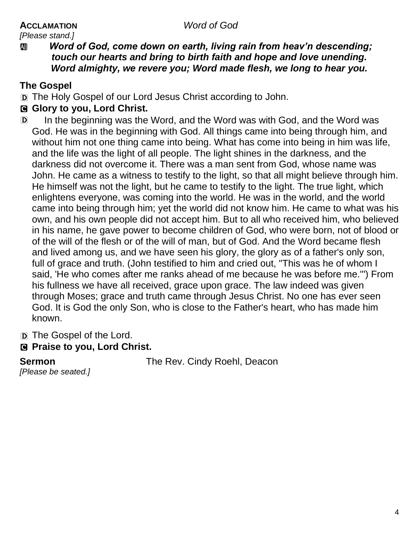#### **ACCLAMATION** *Word of God [Please stand.]*

# *m Word of God, come down on earth, living rain from heav'n descending; touch our hearts and bring to birth faith and hope and love unending. Word almighty, we revere you; Word made flesh, we long to hear you.*

# **The Gospel**

D The Holy Gospel of our Lord Jesus Christ according to John.

# C **Glory to you, Lord Christ.**

- D In the beginning was the Word, and the Word was with God, and the Word was God. He was in the beginning with God. All things came into being through him, and without him not one thing came into being. What has come into being in him was life, and the life was the light of all people. The light shines in the darkness, and the darkness did not overcome it. There was a man sent from God, whose name was John. He came as a witness to testify to the light, so that all might believe through him. He himself was not the light, but he came to testify to the light. The true light, which enlightens everyone, was coming into the world. He was in the world, and the world came into being through him; yet the world did not know him. He came to what was his own, and his own people did not accept him. But to all who received him, who believed in his name, he gave power to become children of God, who were born, not of blood or of the will of the flesh or of the will of man, but of God. And the Word became flesh and lived among us, and we have seen his glory, the glory as of a father's only son, full of grace and truth. (John testified to him and cried out, "This was he of whom I said, 'He who comes after me ranks ahead of me because he was before me.'") From his fullness we have all received, grace upon grace. The law indeed was given through Moses; grace and truth came through Jesus Christ. No one has ever seen God. It is God the only Son, who is close to the Father's heart, who has made him known.
- D The Gospel of the Lord.
- C **Praise to you, Lord Christ.**

**Sermon** The Rev. Cindy Roehl, Deacon

*[Please be seated.]*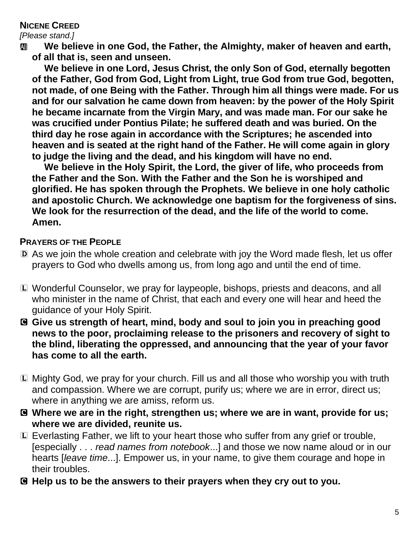### **NICENE CREED**

*[Please stand.]*

a **We believe in one God, the Father, the Almighty, maker of heaven and earth, of all that is, seen and unseen.**

**We believe in one Lord, Jesus Christ, the only Son of God, eternally begotten of the Father, God from God, Light from Light, true God from true God, begotten, not made, of one Being with the Father. Through him all things were made. For us and for our salvation he came down from heaven: by the power of the Holy Spirit he became incarnate from the Virgin Mary, and was made man. For our sake he was crucified under Pontius Pilate; he suffered death and was buried. On the third day he rose again in accordance with the Scriptures; he ascended into heaven and is seated at the right hand of the Father. He will come again in glory to judge the living and the dead, and his kingdom will have no end.**

**We believe in the Holy Spirit, the Lord, the giver of life, who proceeds from the Father and the Son. With the Father and the Son he is worshiped and glorified. He has spoken through the Prophets. We believe in one holy catholic and apostolic Church. We acknowledge one baptism for the forgiveness of sins. We look for the resurrection of the dead, and the life of the world to come. Amen.**

**PRAYERS OF THE PEOPLE** 

- D As we join the whole creation and celebrate with joy the Word made flesh, let us offer prayers to God who dwells among us, from long ago and until the end of time.
- L Wonderful Counselor, we pray for laypeople, bishops, priests and deacons, and all who minister in the name of Christ, that each and every one will hear and heed the guidance of your Holy Spirit.
- C **Give us strength of heart, mind, body and soul to join you in preaching good news to the poor, proclaiming release to the prisoners and recovery of sight to the blind, liberating the oppressed, and announcing that the year of your favor has come to all the earth.**
- L Mighty God, we pray for your church. Fill us and all those who worship you with truth and compassion. Where we are corrupt, purify us; where we are in error, direct us; where in anything we are amiss, reform us.
- C **Where we are in the right, strengthen us; where we are in want, provide for us; where we are divided, reunite us.**
- L Everlasting Father, we lift to your heart those who suffer from any grief or trouble, [especially . . . *read names from notebook*...] and those we now name aloud or in our hearts [*leave time*...]. Empower us, in your name, to give them courage and hope in their troubles.
- C **Help us to be the answers to their prayers when they cry out to you.**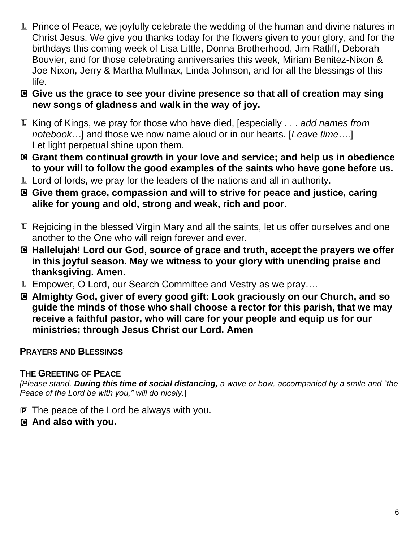- L Prince of Peace, we joyfully celebrate the wedding of the human and divine natures in Christ Jesus. We give you thanks today for the flowers given to your glory, and for the birthdays this coming week of Lisa Little, Donna Brotherhood, Jim Ratliff, Deborah Bouvier, and for those celebrating anniversaries this week, Miriam Benitez-Nixon & Joe Nixon, Jerry & Martha Mullinax, Linda Johnson, and for all the blessings of this life.
- C **Give us the grace to see your divine presence so that all of creation may sing new songs of gladness and walk in the way of joy.**
- L King of Kings, we pray for those who have died, [especially . . . *add names from notebook…*] and those we now name aloud or in our hearts. [*Leave time….*] Let light perpetual shine upon them.
- C **Grant them continual growth in your love and service; and help us in obedience to your will to follow the good examples of the saints who have gone before us.**
- L Lord of lords, we pray for the leaders of the nations and all in authority.
- C **Give them grace, compassion and will to strive for peace and justice, caring alike for young and old, strong and weak, rich and poor.**
- L Rejoicing in the blessed Virgin Mary and all the saints, let us offer ourselves and one another to the One who will reign forever and ever.
- C **Hallelujah! Lord our God, source of grace and truth, accept the prayers we offer in this joyful season. May we witness to your glory with unending praise and thanksgiving. Amen.**
- L Empower, O Lord, our Search Committee and Vestry as we pray….
- C **Almighty God, giver of every good gift: Look graciously on our Church, and so guide the minds of those who shall choose a rector for this parish, that we may receive a faithful pastor, who will care for your people and equip us for our ministries; through Jesus Christ our Lord. Amen**

# **PRAYERS AND BLESSINGS**

# **THE GREETING OF PEACE**

*[Please stand. During this time of social distancing, a wave or bow, accompanied by a smile and "the Peace of the Lord be with you," will do nicely.*]

- P The peace of the Lord be always with you.
- C **And also with you.**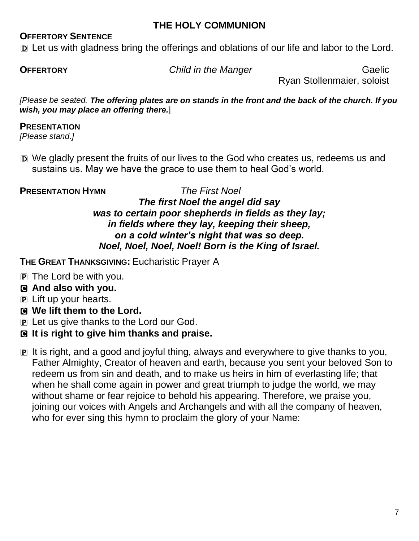# **THE HOLY COMMUNION**

# **OFFERTORY SENTENCE**

D Let us with gladness bring the offerings and oblations of our life and labor to the Lord.

**OFFERTORY** *Child in the Manger* Gaelic Ryan Stollenmaier, soloist

*[Please be seated. The offering plates are on stands in the front and the back of the church. If you wish, you may place an offering there.*]

# **PRESENTATION**

*[Please stand.]*

D We gladly present the fruits of our lives to the God who creates us, redeems us and sustains us. May we have the grace to use them to heal God's world.

# **PRESENTATION HYMN** *The First Noel*

#### *The first Noel the angel did say was to certain poor shepherds in fields as they lay; in fields where they lay, keeping their sheep, on a cold winter's night that was so deep. Noel, Noel, Noel, Noel! Born is the King of Israel.*

**THE GREAT THANKSGIVING:** Eucharistic Prayer A

- $\mathbf{P}$  The Lord be with you.
- C **And also with you.**
- P Lift up your hearts.
- C **We lift them to the Lord.**
- P Let us give thanks to the Lord our God.
- C **It is right to give him thanks and praise.**
- P It is right, and a good and joyful thing, always and everywhere to give thanks to you, Father Almighty, Creator of heaven and earth, because you sent your beloved Son to redeem us from sin and death, and to make us heirs in him of everlasting life; that when he shall come again in power and great triumph to judge the world, we may without shame or fear rejoice to behold his appearing. Therefore, we praise you, joining our voices with Angels and Archangels and with all the company of heaven, who for ever sing this hymn to proclaim the glory of your Name: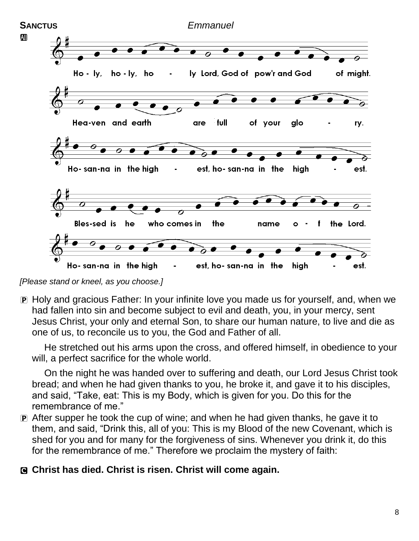

*[Please stand or kneel, as you choose.]*

P Holy and gracious Father: In your infinite love you made us for yourself, and, when we had fallen into sin and become subject to evil and death, you, in your mercy, sent Jesus Christ, your only and eternal Son, to share our human nature, to live and die as one of us, to reconcile us to you, the God and Father of all.

He stretched out his arms upon the cross, and offered himself, in obedience to your will, a perfect sacrifice for the whole world.

On the night he was handed over to suffering and death, our Lord Jesus Christ took bread; and when he had given thanks to you, he broke it, and gave it to his disciples, and said, "Take, eat: This is my Body, which is given for you. Do this for the remembrance of me."

P After supper he took the cup of wine; and when he had given thanks, he gave it to them, and said, "Drink this, all of you: This is my Blood of the new Covenant, which is shed for you and for many for the forgiveness of sins. Whenever you drink it, do this for the remembrance of me." Therefore we proclaim the mystery of faith:

# C **Christ has died. Christ is risen. Christ will come again.**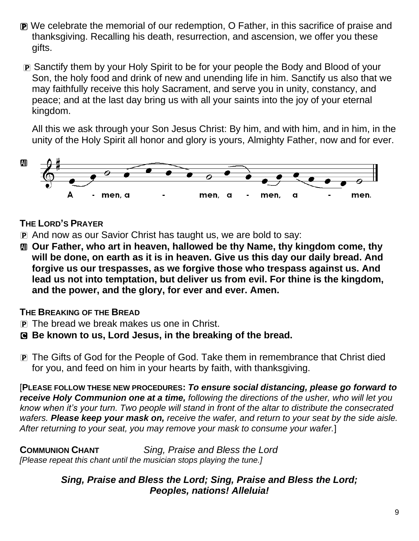- P We celebrate the memorial of our redemption, O Father, in this sacrifice of praise and thanksgiving. Recalling his death, resurrection, and ascension, we offer you these gifts.
- P Sanctify them by your Holy Spirit to be for your people the Body and Blood of your Son, the holy food and drink of new and unending life in him. Sanctify us also that we may faithfully receive this holy Sacrament, and serve you in unity, constancy, and peace; and at the last day bring us with all your saints into the joy of your eternal kingdom.

All this we ask through your Son Jesus Christ: By him, and with him, and in him, in the unity of the Holy Spirit all honor and glory is yours, Almighty Father, now and for ever.



#### **THE LORD'S PRAYER**

- P And now as our Savior Christ has taught us, we are bold to say:
- $\mathbf{m}$  **Our Father, who art in heaven, hallowed be thy Name, thy kingdom come, thy will be done, on earth as it is in heaven. Give us this day our daily bread. And forgive us our trespasses, as we forgive those who trespass against us. And lead us not into temptation, but deliver us from evil. For thine is the kingdom, and the power, and the glory, for ever and ever. Amen.**

#### **THE BREAKING OF THE BREAD**

- P The bread we break makes us one in Christ.
- C **Be known to us, Lord Jesus, in the breaking of the bread.**
- P The Gifts of God for the People of God. Take them in remembrance that Christ died for you, and feed on him in your hearts by faith, with thanksgiving.

[**PLEASE FOLLOW THESE NEW PROCEDURES:** *To ensure social distancing, please go forward to receive Holy Communion one at a time, following the directions of the usher, who will let you know when it's your turn. Two people will stand in front of the altar to distribute the consecrated wafers. Please keep your mask on, receive the wafer, and return to your seat by the side aisle. After returning to your seat, you may remove your mask to consume your wafer.*]

**COMMUNION CHANT** *Sing, Praise and Bless the Lord [Please repeat this chant until the musician stops playing the tune.]*

#### *Sing, Praise and Bless the Lord; Sing, Praise and Bless the Lord; Peoples, nations! Alleluia!*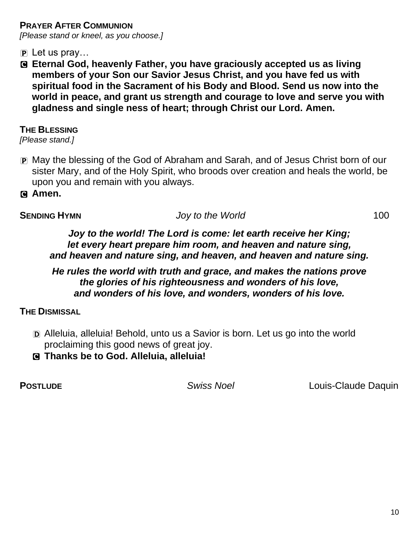**PRAYER AFTER COMMUNION** *[Please stand or kneel, as you choose.]*

 $\overline{P}$  Let us pray...

C **Eternal God, heavenly Father, you have graciously accepted us as living members of your Son our Savior Jesus Christ, and you have fed us with spiritual food in the Sacrament of his Body and Blood. Send us now into the world in peace, and grant us strength and courage to love and serve you with gladness and single ness of heart; through Christ our Lord. Amen.**

#### **THE BLESSING**

*[Please stand.]*

- P May the blessing of the God of Abraham and Sarah, and of Jesus Christ born of our sister Mary, and of the Holy Spirit, who broods over creation and heals the world, be upon you and remain with you always.
- C **Amen.**

**SENDING HYMN** *Joy to the World* 100

*Joy to the world! The Lord is come: let earth receive her King; let every heart prepare him room, and heaven and nature sing, and heaven and nature sing, and heaven, and heaven and nature sing.*

### *He rules the world with truth and grace, and makes the nations prove the glories of his righteousness and wonders of his love, and wonders of his love, and wonders, wonders of his love.*

#### **THE DISMISSAL**

- D Alleluia, alleluia! Behold, unto us a Savior is born. Let us go into the world proclaiming this good news of great joy.
- C **Thanks be to God. Alleluia, alleluia!**

**POSTLUDE** *Swiss Noel* Louis-Claude Daquin